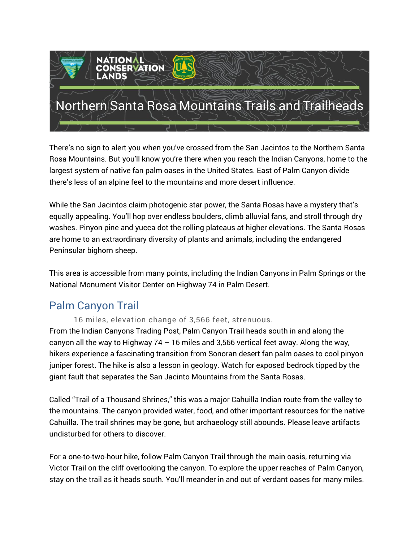

There's no sign to alert you when you've crossed from the San Jacintos to the Northern Santa Rosa Mountains. But you'll know you're there when you reach the Indian Canyons, home to the largest system of native fan palm oases in the United States. East of Palm Canyon divide there's less of an alpine feel to the mountains and more desert influence.

While the San Jacintos claim photogenic star power, the Santa Rosas have a mystery that's equally appealing. You'll hop over endless boulders, climb alluvial fans, and stroll through dry washes. Pinyon pine and yucca dot the rolling plateaus at higher elevations. The Santa Rosas are home to an extraordinary diversity of plants and animals, including the endangered Peninsular bighorn sheep.

This area is accessible from many points, including the Indian Canyons in Palm Springs or the National Monument Visitor Center on Highway 74 in Palm Desert.

## Palm Canyon Trail

16 miles, elevation change of 3,566 feet, strenuous.

From the Indian Canyons Trading Post, Palm Canyon Trail heads south in and along the canyon all the way to Highway 74 – 16 miles and 3,566 vertical feet away. Along the way, hikers experience a fascinating transition from Sonoran desert fan palm oases to cool pinyon juniper forest. The hike is also a lesson in geology. Watch for exposed bedrock tipped by the giant fault that separates the San Jacinto Mountains from the Santa Rosas.

Called "Trail of a Thousand Shrines," this was a major Cahuilla Indian route from the valley to the mountains. The canyon provided water, food, and other important resources for the native Cahuilla. The trail shrines may be gone, but archaeology still abounds. Please leave artifacts undisturbed for others to discover.

For a one-to-two-hour hike, follow Palm Canyon Trail through the main oasis, returning via Victor Trail on the cliff overlooking the canyon. To explore the upper reaches of Palm Canyon, stay on the trail as it heads south. You'll meander in and out of verdant oases for many miles.